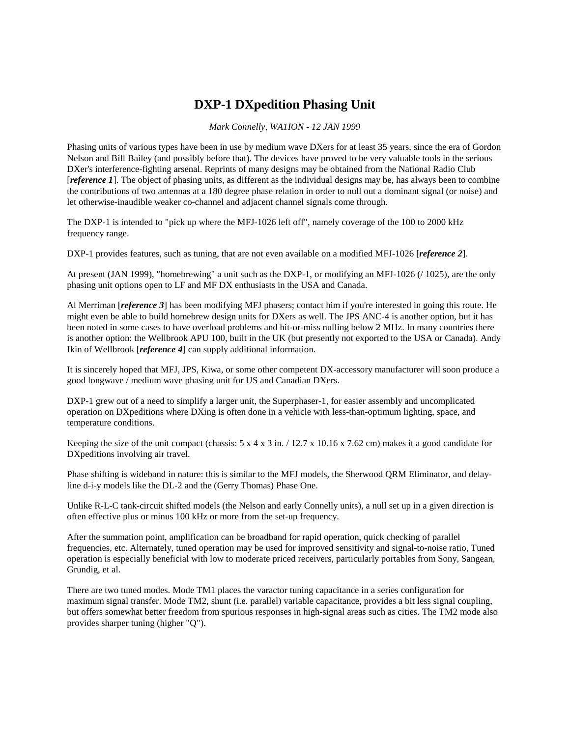# **DXP-1 DXpedition Phasing Unit**

*Mark Connelly, WA1ION - 12 JAN 1999*

Phasing units of various types have been in use by medium wave DXers for at least 35 years, since the era of Gordon Nelson and Bill Bailey (and possibly before that). The devices have proved to be very valuable tools in the serious DXer's interference-fighting arsenal. Reprints of many designs may be obtained from the National Radio Club [*reference 1*]. The object of phasing units, as different as the individual designs may be, has always been to combine the contributions of two antennas at a 180 degree phase relation in order to null out a dominant signal (or noise) and let otherwise-inaudible weaker co-channel and adjacent channel signals come through.

The DXP-1 is intended to "pick up where the MFJ-1026 left off", namely coverage of the 100 to 2000 kHz frequency range.

DXP-1 provides features, such as tuning, that are not even available on a modified MFJ-1026 [*reference 2*].

At present (JAN 1999), "homebrewing" a unit such as the DXP-1, or modifying an MFJ-1026 (/ 1025), are the only phasing unit options open to LF and MF DX enthusiasts in the USA and Canada.

Al Merriman [*reference 3*] has been modifying MFJ phasers; contact him if you're interested in going this route. He might even be able to build homebrew design units for DXers as well. The JPS ANC-4 is another option, but it has been noted in some cases to have overload problems and hit-or-miss nulling below 2 MHz. In many countries there is another option: the Wellbrook APU 100, built in the UK (but presently not exported to the USA or Canada). Andy Ikin of Wellbrook [*reference 4*] can supply additional information.

It is sincerely hoped that MFJ, JPS, Kiwa, or some other competent DX-accessory manufacturer will soon produce a good longwave / medium wave phasing unit for US and Canadian DXers.

DXP-1 grew out of a need to simplify a larger unit, the Superphaser-1, for easier assembly and uncomplicated operation on DXpeditions where DXing is often done in a vehicle with less-than-optimum lighting, space, and temperature conditions.

Keeping the size of the unit compact (chassis:  $5 \times 4 \times 3$  in. / 12.7 x 10.16 x 7.62 cm) makes it a good candidate for DXpeditions involving air travel.

Phase shifting is wideband in nature: this is similar to the MFJ models, the Sherwood QRM Eliminator, and delayline d-i-y models like the DL-2 and the (Gerry Thomas) Phase One.

Unlike R-L-C tank-circuit shifted models (the Nelson and early Connelly units), a null set up in a given direction is often effective plus or minus 100 kHz or more from the set-up frequency.

After the summation point, amplification can be broadband for rapid operation, quick checking of parallel frequencies, etc. Alternately, tuned operation may be used for improved sensitivity and signal-to-noise ratio, Tuned operation is especially beneficial with low to moderate priced receivers, particularly portables from Sony, Sangean, Grundig, et al.

There are two tuned modes. Mode TM1 places the varactor tuning capacitance in a series configuration for maximum signal transfer. Mode TM2, shunt (i.e. parallel) variable capacitance, provides a bit less signal coupling, but offers somewhat better freedom from spurious responses in high-signal areas such as cities. The TM2 mode also provides sharper tuning (higher "Q").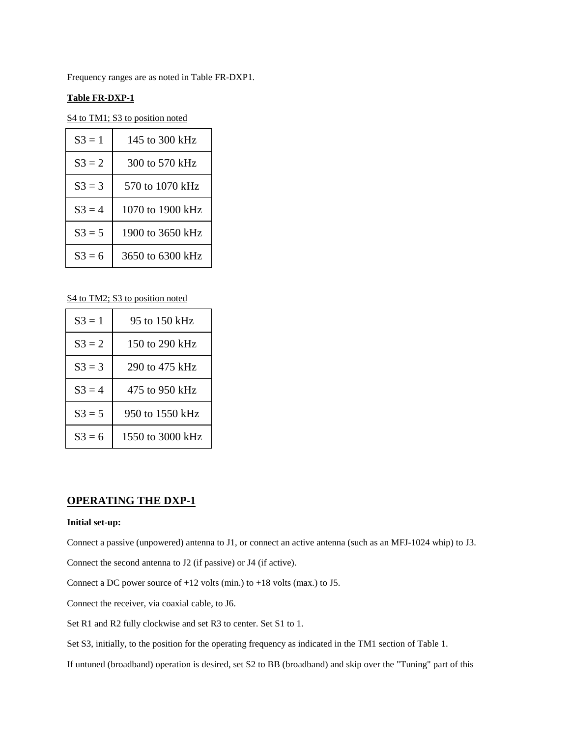Frequency ranges are as noted in Table FR-DXP1.

### **Table FR-DXP-1**

S<sub>4</sub> to TM1; S<sub>3</sub> to position noted

| $S3 = 1$  | 145 to 300 kHz   |
|-----------|------------------|
| $S3 = 2$  | 300 to 570 kHz   |
| $S3 = 3$  | 570 to 1070 kHz  |
| $S3 = 4$  | 1070 to 1900 kHz |
| $S3 = 5$  | 1900 to 3650 kHz |
| $S_3 = 6$ | 3650 to 6300 kHz |

S4 to TM2; S3 to position noted

| $S3 = 1$ | 95 to 150 kHz    |
|----------|------------------|
| $S3 = 2$ | 150 to 290 kHz   |
| $S3 = 3$ | 290 to 475 kHz   |
| $S3 = 4$ | 475 to 950 kHz   |
| $S3 = 5$ | 950 to 1550 kHz  |
| $S3 = 6$ | 1550 to 3000 kHz |

# **OPERATING THE DXP-1**

#### **Initial set-up:**

Connect a passive (unpowered) antenna to J1, or connect an active antenna (such as an MFJ-1024 whip) to J3.

Connect the second antenna to J2 (if passive) or J4 (if active).

Connect a DC power source of +12 volts (min.) to +18 volts (max.) to J5.

Connect the receiver, via coaxial cable, to J6.

Set R1 and R2 fully clockwise and set R3 to center. Set S1 to 1.

Set S3, initially, to the position for the operating frequency as indicated in the TM1 section of Table 1.

If untuned (broadband) operation is desired, set S2 to BB (broadband) and skip over the "Tuning" part of this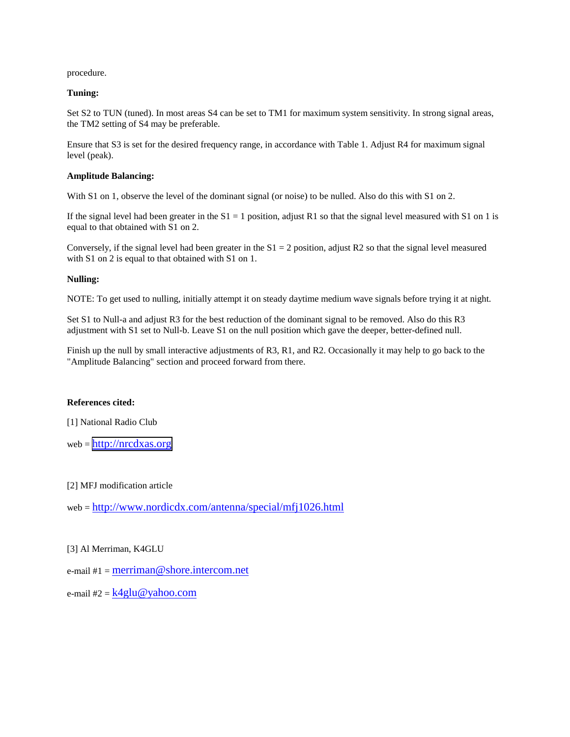procedure.

### **Tuning:**

Set S2 to TUN (tuned). In most areas S4 can be set to TM1 for maximum system sensitivity. In strong signal areas, the TM2 setting of S4 may be preferable.

Ensure that S3 is set for the desired frequency range, in accordance with Table 1. Adjust R4 for maximum signal level (peak).

### **Amplitude Balancing:**

With S1 on 1, observe the level of the dominant signal (or noise) to be nulled. Also do this with S1 on 2.

If the signal level had been greater in the  $S1 = 1$  position, adjust R1 so that the signal level measured with S1 on 1 is equal to that obtained with S1 on 2.

Conversely, if the signal level had been greater in the  $S1 = 2$  position, adjust R2 so that the signal level measured with S1 on 2 is equal to that obtained with S1 on 1.

### **Nulling:**

NOTE: To get used to nulling, initially attempt it on steady daytime medium wave signals before trying it at night.

Set S1 to Null-a and adjust R3 for the best reduction of the dominant signal to be removed. Also do this R3 adjustment with S1 set to Null-b. Leave S1 on the null position which gave the deeper, better-defined null.

Finish up the null by small interactive adjustments of R3, R1, and R2. Occasionally it may help to go back to the "Amplitude Balancing" section and proceed forward from there.

#### **References cited:**

[1] National Radio Club

web = [http://nrcdxas.org](http://nrcdxas.org/)

[2] MFJ modification article

web = http://www.nordicdx.com/antenna/special/mfj1026.html

[3] Al Merriman, K4GLU

e-mail  $#1 = \text{merriman} @$  shore.intercom.net

e-mail #2 =  $k4glu@yahoo.com$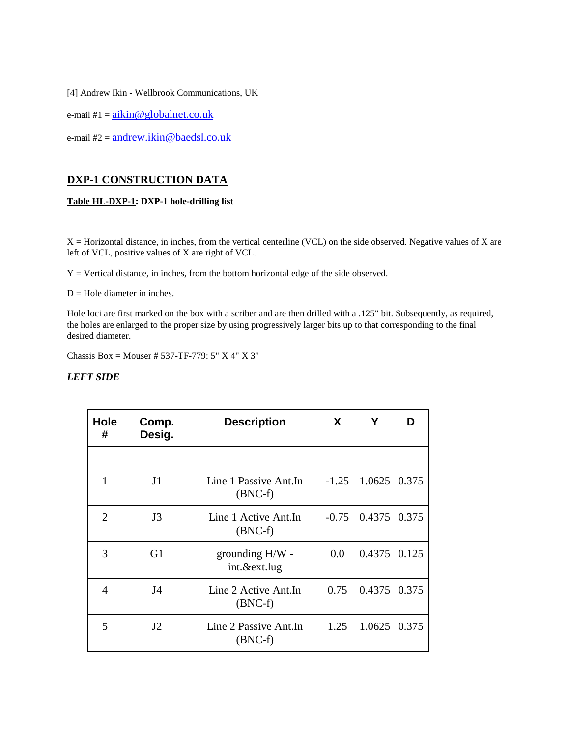[4] Andrew Ikin - Wellbrook Communications, UK

e-mail  $#1 = aikin@globalnet.co.uk$ 

e-mail #2 = andrew.ikin@baedsl.co.uk

# **DXP-1 CONSTRUCTION DATA**

### **Table HL-DXP-1: DXP-1 hole-drilling list**

X = Horizontal distance, in inches, from the vertical centerline (VCL) on the side observed. Negative values of X are left of VCL, positive values of X are right of VCL.

Y = Vertical distance, in inches, from the bottom horizontal edge of the side observed.

 $D =$  Hole diameter in inches.

Hole loci are first marked on the box with a scriber and are then drilled with a .125" bit. Subsequently, as required, the holes are enlarged to the proper size by using progressively larger bits up to that corresponding to the final desired diameter.

Chassis Box = Mouser # 537-TF-779: 5" X 4" X 3"

### *LEFT SIDE*

| Hole<br>#      | Comp.<br>Desig. | <b>Description</b>                  | X       | Υ      | D     |
|----------------|-----------------|-------------------------------------|---------|--------|-------|
|                |                 |                                     |         |        |       |
| 1              | J <sub>1</sub>  | Line 1 Passive Ant. In<br>$(BNC-f)$ | $-1.25$ | 1.0625 | 0.375 |
| $\overline{2}$ | J3              | Line 1 Active Ant.In<br>$(BNC-f)$   | $-0.75$ | 0.4375 | 0.375 |
| 3              | G <sub>1</sub>  | grounding H/W -<br>int.&ext.lug     | 0.0     | 0.4375 | 0.125 |
| 4              | J <sub>4</sub>  | Line 2 Active Ant.In<br>$(BNC-f)$   | 0.75    | 0.4375 | 0.375 |
| 5              | J2              | Line 2 Passive Ant.In<br>$(BNC-f)$  | 1.25    | 1.0625 | 0.375 |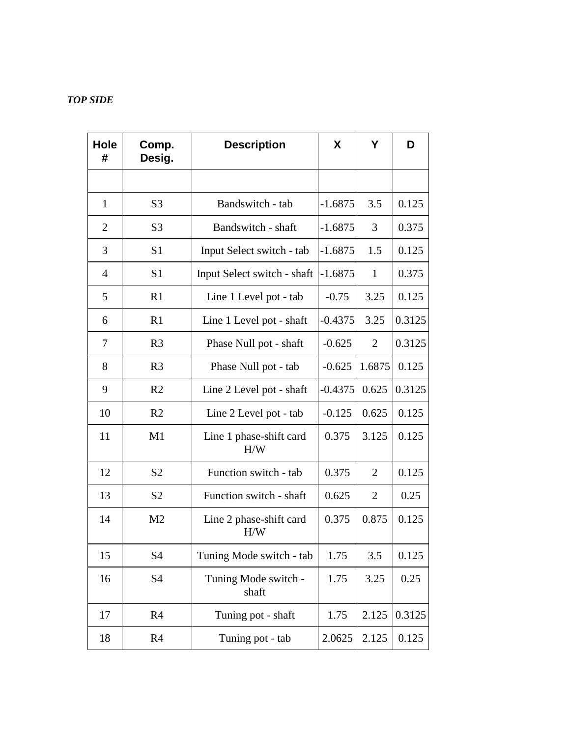# *TOP SIDE*

| <b>Hole</b><br># | Comp.<br>Desig. | <b>Description</b>             | X         | Υ              | D      |
|------------------|-----------------|--------------------------------|-----------|----------------|--------|
|                  |                 |                                |           |                |        |
| 1                | S <sub>3</sub>  | Bandswitch - tab               | $-1.6875$ | 3.5            | 0.125  |
| $\overline{2}$   | S <sub>3</sub>  | Bandswitch - shaft             | $-1.6875$ | 3              | 0.375  |
| 3                | S <sub>1</sub>  | Input Select switch - tab      | $-1.6875$ | 1.5            | 0.125  |
| 4                | S <sub>1</sub>  | Input Select switch - shaft    | $-1.6875$ | 1              | 0.375  |
| 5                | R1              | Line 1 Level pot - tab         | $-0.75$   | 3.25           | 0.125  |
| 6                | R1              | Line 1 Level pot - shaft       | $-0.4375$ | 3.25           | 0.3125 |
| 7                | R <sub>3</sub>  | Phase Null pot - shaft         | $-0.625$  | $\overline{2}$ | 0.3125 |
| 8                | R <sub>3</sub>  | Phase Null pot - tab           | $-0.625$  | 1.6875         | 0.125  |
| 9                | R <sub>2</sub>  | Line 2 Level pot - shaft       | $-0.4375$ | 0.625          | 0.3125 |
| 10               | R <sub>2</sub>  | Line 2 Level pot - tab         | $-0.125$  | 0.625          | 0.125  |
| 11               | M1              | Line 1 phase-shift card<br>H/W | 0.375     | 3.125          | 0.125  |
| 12               | S <sub>2</sub>  | Function switch - tab          | 0.375     | $\overline{2}$ | 0.125  |
| 13               | S <sub>2</sub>  | Function switch - shaft        | 0.625     | $\overline{2}$ | 0.25   |
| 14               | M <sub>2</sub>  | Line 2 phase-shift card<br>H/W | 0.375     | 0.875          | 0.125  |
| 15               | S4              | Tuning Mode switch - tab       | 1.75      | 3.5            | 0.125  |
| 16               | S4              | Tuning Mode switch -<br>shaft  | 1.75      | 3.25           | 0.25   |
| 17               | R <sub>4</sub>  | Tuning pot - shaft             | 1.75      | 2.125          | 0.3125 |
| 18               | R <sub>4</sub>  | Tuning pot - tab               | 2.0625    | 2.125          | 0.125  |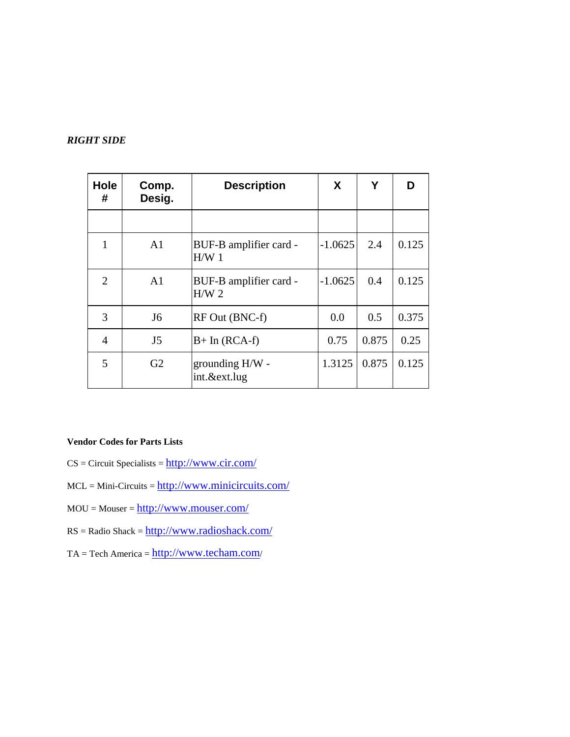## *RIGHT SIDE*

| <b>Hole</b><br># | Comp.<br>Desig. | <b>Description</b>                         | X         | Υ     | ח     |
|------------------|-----------------|--------------------------------------------|-----------|-------|-------|
|                  |                 |                                            |           |       |       |
| 1                | A <sub>1</sub>  | BUF-B amplifier card -<br>H/W1             | $-1.0625$ | 2.4   | 0.125 |
| 2                | A <sub>1</sub>  | BUF-B amplifier card -<br>H/W <sub>2</sub> | $-1.0625$ | 0.4   | 0.125 |
| 3                | J <sub>6</sub>  | RF Out (BNC-f)                             | 0.0       | 0.5   | 0.375 |
| 4                | J <sub>5</sub>  | $B+$ In (RCA-f)                            | 0.75      | 0.875 | 0.25  |
| 5                | G <sub>2</sub>  | grounding H/W -<br>int.&ext.lug            | 1.3125    | 0.875 | 0.125 |

## **Vendor Codes for Parts Lists**

- $CS = Circuit$  Specialists =  $\frac{http://www.cir.com/}{http://www.cir.com/}$
- $MCL = Mini-Circuits =  $\frac{http://www.minicircuits.com/}{http://www.minicircuits.com/}$$
- $MOU = Mouser = \frac{http://www.mouser.com/}{http://www.mouser.com/}{$
- $RS = Radio Shack = \frac{http://www.radioshack.com/}{$
- TA = Tech America = http://www.techam.com/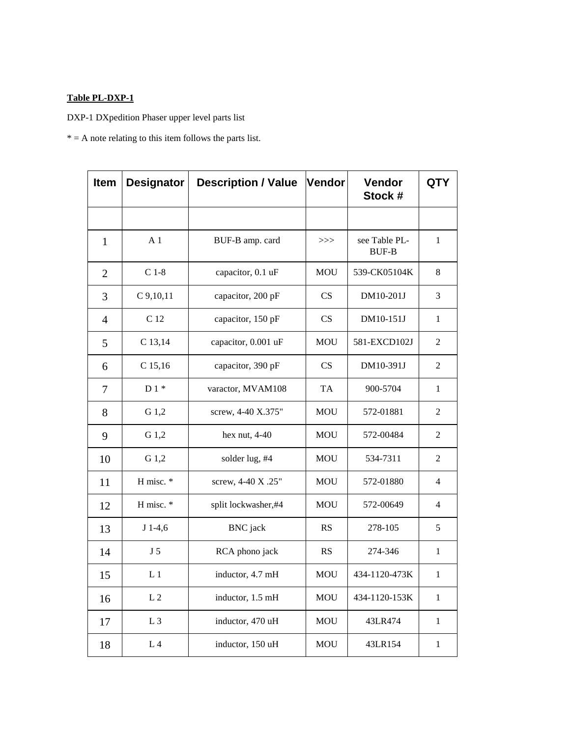## **Table PL-DXP-1**

DXP-1 DXpedition Phaser upper level parts list

 $* = A$  note relating to this item follows the parts list.

| Item           | <b>Designator</b> | <b>Description / Value</b> | Vendor     | Vendor<br>Stock #             | <b>QTY</b>     |
|----------------|-------------------|----------------------------|------------|-------------------------------|----------------|
|                |                   |                            |            |                               |                |
| $\mathbf{1}$   | A <sub>1</sub>    | BUF-B amp. card            | >>         | see Table PL-<br><b>BUF-B</b> | $\mathbf{1}$   |
| $\overline{2}$ | $C$ 1-8           | capacitor, 0.1 uF          | <b>MOU</b> | 539-CK05104K                  | 8              |
| 3              | $C$ 9,10,11       | capacitor, 200 pF          | <b>CS</b>  | DM10-201J                     | 3              |
| $\overline{4}$ | C <sub>12</sub>   | capacitor, 150 pF          | <b>CS</b>  | DM10-151J                     | $\mathbf{1}$   |
| 5              | C 13,14           | capacitor, 0.001 uF        | <b>MOU</b> | 581-EXCD102J                  | $\overline{2}$ |
| 6              | $C$ 15,16         | capacitor, 390 pF          | <b>CS</b>  | DM10-391J                     | $\overline{2}$ |
| 7              | $D1*$             | varactor, MVAM108          | <b>TA</b>  | 900-5704                      | $\mathbf{1}$   |
| 8              | G 1,2             | screw, 4-40 X.375"         | <b>MOU</b> | 572-01881                     | $\overline{2}$ |
| 9              | G 1,2             | hex nut, $4-40$            | MOU        | 572-00484                     | $\overline{c}$ |
| 10             | G 1,2             | solder lug, #4             | <b>MOU</b> | 534-7311                      | $\overline{2}$ |
| 11             | H misc. *         | screw, 4-40 X .25"         | <b>MOU</b> | 572-01880                     | $\overline{4}$ |
| 12             | H misc. *         | split lockwasher,#4        | <b>MOU</b> | 572-00649                     | 4              |
| 13             | $J$ 1-4,6         | <b>BNC</b> jack            | <b>RS</b>  | 278-105                       | 5              |
| 14             | J <sub>5</sub>    | RCA phono jack             | <b>RS</b>  | 274-346                       | $\mathbf{1}$   |
| 15             | L <sub>1</sub>    | inductor, 4.7 mH           | <b>MOU</b> | 434-1120-473K                 | $\mathbf{1}$   |
| 16             | L <sub>2</sub>    | inductor, 1.5 mH           | <b>MOU</b> | 434-1120-153K                 | $\mathbf{1}$   |
| 17             | L <sub>3</sub>    | inductor, 470 uH           | <b>MOU</b> | 43LR474                       | $\mathbf{1}$   |
| 18             | L <sub>4</sub>    | inductor, 150 uH           | <b>MOU</b> | 43LR154                       | 1              |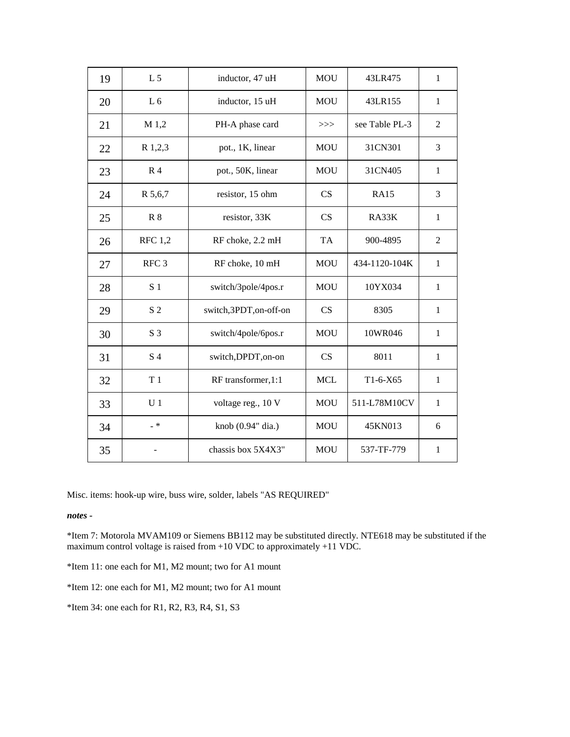| 19 | L <sub>5</sub>   | inductor, 47 uH       | <b>MOU</b> | 43LR475        | $\mathbf{1}$   |
|----|------------------|-----------------------|------------|----------------|----------------|
| 20 | L <sub>6</sub>   | inductor, 15 uH       | <b>MOU</b> | 43LR155        | $\mathbf{1}$   |
| 21 | M 1,2            | PH-A phase card       | >>         | see Table PL-3 | $\overline{2}$ |
| 22 | R 1,2,3          | pot., 1K, linear      | <b>MOU</b> | 31CN301        | 3              |
| 23 | R <sub>4</sub>   | pot., 50K, linear     | <b>MOU</b> | 31CN405        | $\mathbf{1}$   |
| 24 | R 5,6,7          | resistor, 15 ohm      | CS         | <b>RA15</b>    | 3              |
| 25 | <b>R</b> 8       | resistor, 33K         | <b>CS</b>  | RA33K          | $\mathbf{1}$   |
| 26 | <b>RFC</b> 1,2   | RF choke, 2.2 mH      | TA         | 900-4895       | $\overline{2}$ |
| 27 | RFC <sub>3</sub> | RF choke, 10 mH       | <b>MOU</b> | 434-1120-104K  | $\mathbf{1}$   |
| 28 | S <sub>1</sub>   | switch/3pole/4pos.r   | <b>MOU</b> | 10YX034        | $\mathbf{1}$   |
| 29 | S <sub>2</sub>   | switch,3PDT,on-off-on | CS         | 8305           | $\mathbf{1}$   |
| 30 | S <sub>3</sub>   | switch/4pole/6pos.r   | <b>MOU</b> | 10WR046        | $\mathbf{1}$   |
| 31 | S <sub>4</sub>   | switch, DPDT, on-on   | CS         | 8011           | $\mathbf{1}$   |
| 32 | T <sub>1</sub>   | RF transformer, 1:1   | <b>MCL</b> | $T1-6-X65$     | $\mathbf{1}$   |
| 33 | U <sub>1</sub>   | voltage reg., 10 V    | <b>MOU</b> | 511-L78M10CV   | $\mathbf{1}$   |
| 34 | $- *$            | knob (0.94" dia.)     | <b>MOU</b> | 45KN013        | 6              |
| 35 |                  | chassis box 5X4X3"    | <b>MOU</b> | 537-TF-779     | 1              |

Misc. items: hook-up wire, buss wire, solder, labels "AS REQUIRED"

*notes -*

\*Item 7: Motorola MVAM109 or Siemens BB112 may be substituted directly. NTE618 may be substituted if the maximum control voltage is raised from +10 VDC to approximately +11 VDC.

\*Item 11: one each for M1, M2 mount; two for A1 mount

\*Item 12: one each for M1, M2 mount; two for A1 mount

\*Item 34: one each for R1, R2, R3, R4, S1, S3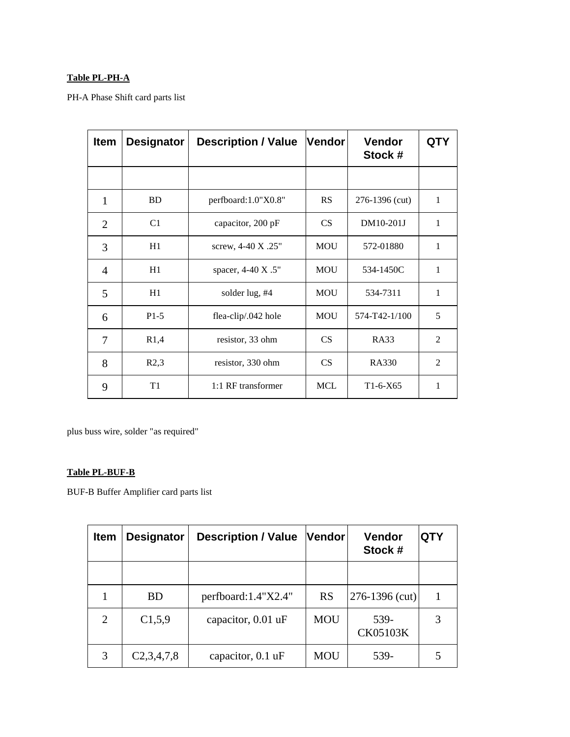# **Table PL-PH-A**

PH-A Phase Shift card parts list

| <b>Item</b>    | <b>Designator</b> | <b>Description / Value</b> | Vendor     | <b>Vendor</b><br>Stock # | <b>QTY</b>     |
|----------------|-------------------|----------------------------|------------|--------------------------|----------------|
|                |                   |                            |            |                          |                |
| 1              | <b>BD</b>         | perfboard:1.0"X0.8"        | <b>RS</b>  | 276-1396 (cut)           | $\mathbf{1}$   |
| $\overline{2}$ | C1                | capacitor, 200 pF          | CS         | DM10-201J                | $\mathbf{1}$   |
| 3              | H1                | screw, 4-40 X .25"         | <b>MOU</b> | 572-01880                | $\mathbf{1}$   |
| $\overline{4}$ | H1                | spacer, 4-40 X .5"         | <b>MOU</b> | 534-1450C                | 1              |
| 5              | H1                | solder lug, #4             | <b>MOU</b> | 534-7311                 | 1              |
| 6              | $P1-5$            | flea-clip/.042 hole        | <b>MOU</b> | 574-T42-1/100            | 5              |
| 7              | R1,4              | resistor, 33 ohm           | <b>CS</b>  | <b>RA33</b>              | 2              |
| 8              | R2,3              | resistor, 330 ohm          | CS         | <b>RA330</b>             | $\overline{2}$ |
| 9              | T1                | 1:1 RF transformer         | <b>MCL</b> | $T1-6-X65$               | 1              |

plus buss wire, solder "as required"

## **Table PL-BUF-B**

BUF-B Buffer Amplifier card parts list

| <b>Item</b> | <b>Designator</b> | <b>Description / Value</b> | Vendor     | <b>Vendor</b><br>Stock # | <b>QTY</b> |
|-------------|-------------------|----------------------------|------------|--------------------------|------------|
|             |                   |                            |            |                          |            |
|             | <b>BD</b>         | perfboard: $1.4$ "X2.4"    | <b>RS</b>  | $276 - 1396$ (cut)       |            |
| 2           | C1,5,9            | capacitor, 0.01 uF         | <b>MOU</b> | 539-<br><b>CK05103K</b>  | 3          |
| 3           | C2,3,4,7,8        | capacitor, 0.1 uF          | <b>MOU</b> | 539-                     |            |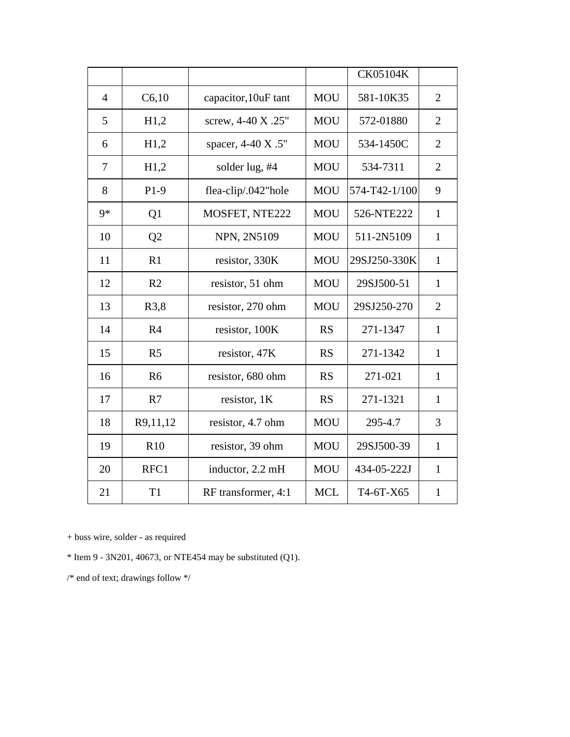|                |                |                      |            | CK05104K      |                |
|----------------|----------------|----------------------|------------|---------------|----------------|
| $\overline{4}$ | C6,10          | capacitor, 10uF tant | <b>MOU</b> | 581-10K35     | $\overline{2}$ |
| 5              | H1,2           | screw, 4-40 X .25"   | <b>MOU</b> | 572-01880     | $\overline{2}$ |
| 6              | H1,2           | spacer, 4-40 X .5"   | <b>MOU</b> | 534-1450C     | $\overline{2}$ |
| 7              | H1,2           | solder lug, #4       | <b>MOU</b> | 534-7311      | $\overline{2}$ |
| 8              | $P1-9$         | flea-clip/.042"hole  | <b>MOU</b> | 574-T42-1/100 | 9              |
| $9*$           | Q1             | MOSFET, NTE222       | <b>MOU</b> | 526-NTE222    | $\mathbf{1}$   |
| 10             | Q2             | NPN, 2N5109          | <b>MOU</b> | 511-2N5109    | $\mathbf{1}$   |
| 11             | R1             | resistor, 330K       | <b>MOU</b> | 29SJ250-330K  | $\mathbf{1}$   |
| 12             | R <sub>2</sub> | resistor, 51 ohm     | <b>MOU</b> | 29SJ500-51    | $\mathbf{1}$   |
| 13             | R3,8           | resistor, 270 ohm    | <b>MOU</b> | 29SJ250-270   | $\overline{2}$ |
| 14             | R <sub>4</sub> | resistor, 100K       | <b>RS</b>  | 271-1347      | $\mathbf{1}$   |
| 15             | R <sub>5</sub> | resistor, 47K        | <b>RS</b>  | 271-1342      | $\mathbf{1}$   |
| 16             | R <sub>6</sub> | resistor, 680 ohm    | <b>RS</b>  | 271-021       | $\mathbf{1}$   |
| 17             | R7             | resistor, 1K         | <b>RS</b>  | 271-1321      | $\mathbf{1}$   |
| 18             | R9,11,12       | resistor, 4.7 ohm    | <b>MOU</b> | 295-4.7       | 3              |
| 19             | R10            | resistor, 39 ohm     | <b>MOU</b> | 29SJ500-39    | $\mathbf{1}$   |
| 20             | RFC1           | inductor, 2.2 mH     | <b>MOU</b> | 434-05-222J   | $\mathbf{1}$   |
| 21             | T1             | RF transformer, 4:1  | <b>MCL</b> | T4-6T-X65     | $\mathbf{1}$   |

+ buss wire, solder - as required

 $*$  Item 9 - 3N201, 40673, or NTE454 may be substituted (Q1).

 $\!*$ end of text; drawings follow  $*\!$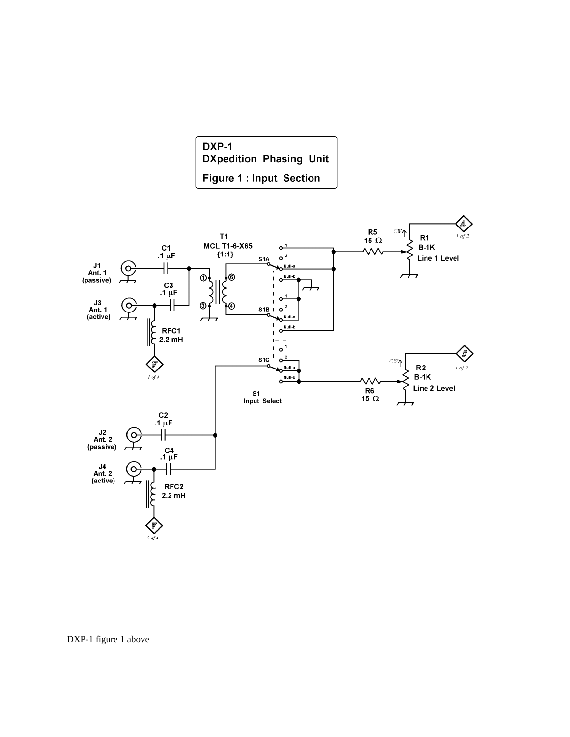



DXP-1 figure 1 above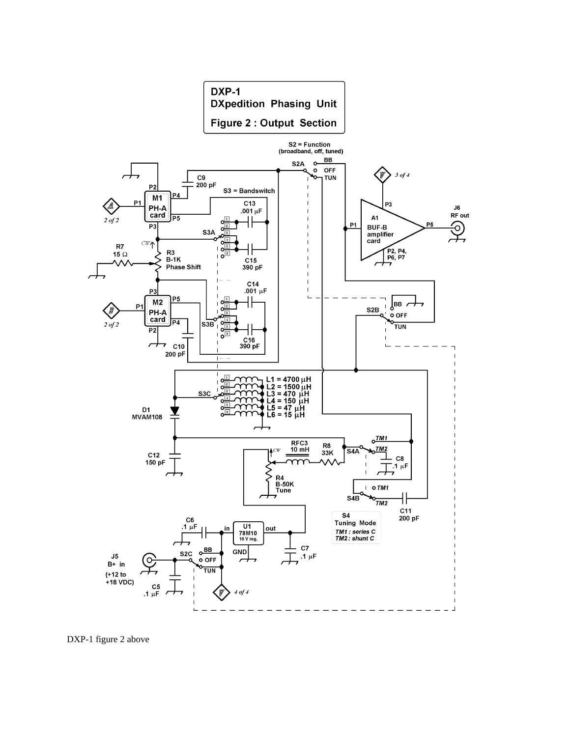

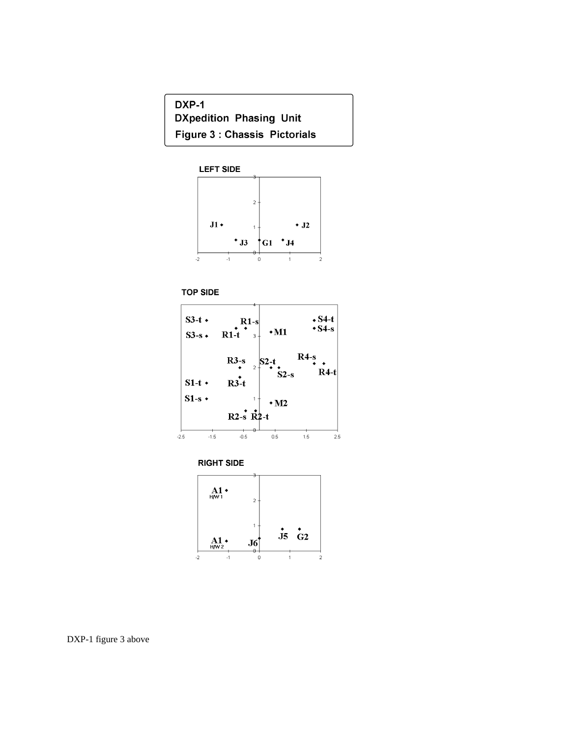DXP-1 **DXpedition Phasing Unit Figure 3: Chassis Pictorials** 











DXP-1 figure 3 above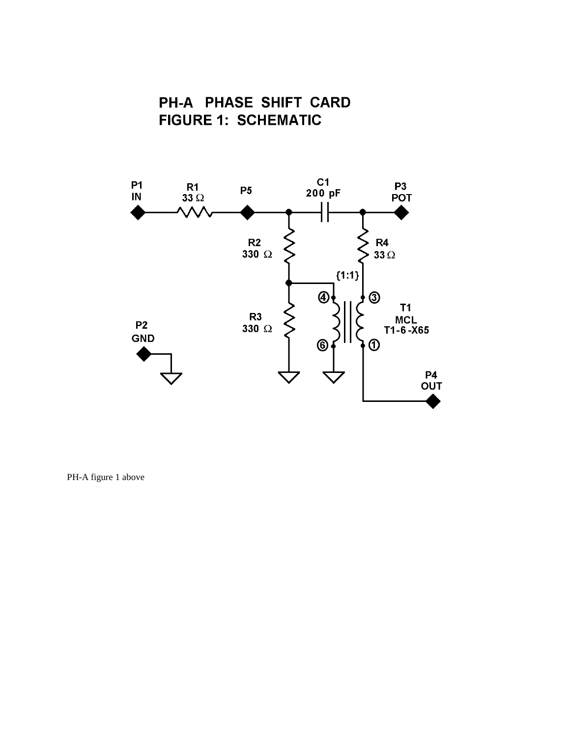



PH-A figure 1 above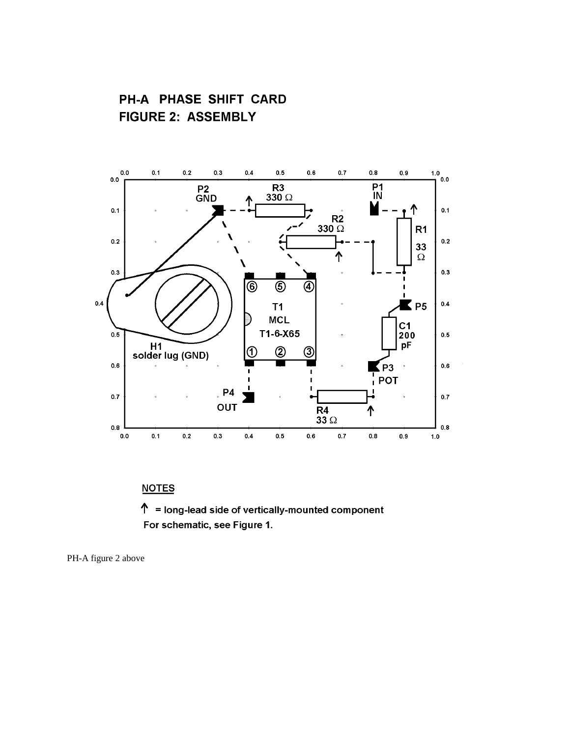PH-A PHASE SHIFT CARD **FIGURE 2: ASSEMBLY** 



# **NOTES**

 $\uparrow$  = long-lead side of vertically-mounted component For schematic, see Figure 1.

PH-A figure 2 above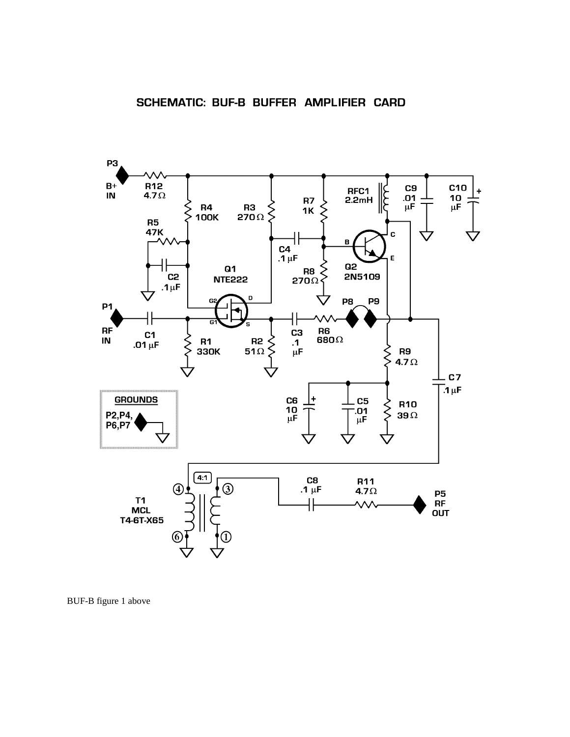

BUF-B figure 1 above